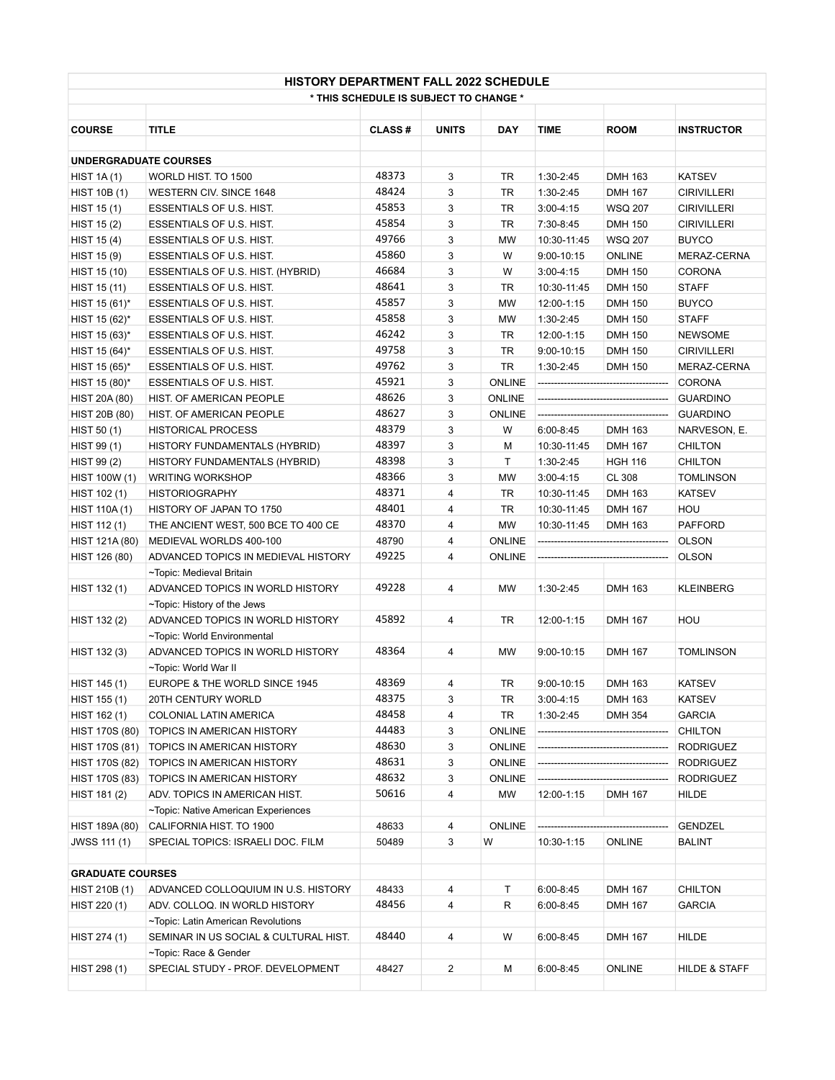| <b>HISTORY DEPARTMENT FALL 2022 SCHEDULE</b><br>* THIS SCHEDULE IS SUBJECT TO CHANGE * |                                       |               |                |               |                |                |                    |  |  |  |
|----------------------------------------------------------------------------------------|---------------------------------------|---------------|----------------|---------------|----------------|----------------|--------------------|--|--|--|
| <b>COURSE</b>                                                                          | <b>TITLE</b>                          | <b>CLASS#</b> | <b>UNITS</b>   | <b>DAY</b>    | <b>TIME</b>    | <b>ROOM</b>    | <b>INSTRUCTOR</b>  |  |  |  |
|                                                                                        |                                       |               |                |               |                |                |                    |  |  |  |
| <b>UNDERGRADUATE COURSES</b>                                                           |                                       |               |                |               |                |                |                    |  |  |  |
| HIST $1A(1)$                                                                           | WORLD HIST. TO 1500                   | 48373         | 3              | TR            | $1:30-2:45$    | <b>DMH 163</b> | <b>KATSEV</b>      |  |  |  |
| <b>HIST 10B (1)</b>                                                                    | WESTERN CIV. SINCE 1648               | 48424         | 3              | TR            | 1:30-2:45      | <b>DMH 167</b> | <b>CIRIVILLERI</b> |  |  |  |
| HIST 15(1)                                                                             | <b>ESSENTIALS OF U.S. HIST.</b>       | 45853         | 3              | TR            | $3:00 - 4:15$  | <b>WSQ 207</b> | <b>CIRIVILLERI</b> |  |  |  |
| HIST $15(2)$                                                                           | <b>ESSENTIALS OF U.S. HIST.</b>       | 45854         | 3              | TR            | 7:30-8:45      | <b>DMH 150</b> | <b>CIRIVILLERI</b> |  |  |  |
| HIST 15 (4)                                                                            | ESSENTIALS OF U.S. HIST.              | 49766         | 3              | MW            | 10:30-11:45    | <b>WSQ 207</b> | <b>BUYCO</b>       |  |  |  |
| HIST 15 (9)                                                                            | ESSENTIALS OF U.S. HIST.              | 45860         | 3              | W             | $9:00 - 10:15$ | <b>ONLINE</b>  | MERAZ-CERNA        |  |  |  |
| HIST 15 (10)                                                                           | ESSENTIALS OF U.S. HIST. (HYBRID)     | 46684         | 3              | W             | $3:00 - 4:15$  | <b>DMH 150</b> | <b>CORONA</b>      |  |  |  |
| HIST 15 (11)                                                                           | ESSENTIALS OF U.S. HIST.              | 48641         | 3              | TR            | 10:30-11:45    | <b>DMH 150</b> | <b>STAFF</b>       |  |  |  |
| HIST 15 (61)*                                                                          | ESSENTIALS OF U.S. HIST.              | 45857         | 3              | <b>MW</b>     | 12:00-1:15     | <b>DMH 150</b> | <b>BUYCO</b>       |  |  |  |
| HIST 15 (62)*                                                                          | ESSENTIALS OF U.S. HIST.              | 45858         | 3              | MW            | 1:30-2:45      | <b>DMH 150</b> | <b>STAFF</b>       |  |  |  |
| HIST 15 (63)*                                                                          | ESSENTIALS OF U.S. HIST.              | 46242         | 3              | TR            | 12:00-1:15     | <b>DMH 150</b> | <b>NEWSOME</b>     |  |  |  |
| HIST 15 (64)*                                                                          | ESSENTIALS OF U.S. HIST.              | 49758         | 3              | TR            | $9:00 - 10:15$ | <b>DMH 150</b> | <b>CIRIVILLERI</b> |  |  |  |
| HIST 15 (65)*                                                                          | ESSENTIALS OF U.S. HIST.              | 49762         | 3              | TR            | $1:30-2:45$    | <b>DMH 150</b> | MERAZ-CERNA        |  |  |  |
| HIST 15 (80)*                                                                          | ESSENTIALS OF U.S. HIST.              | 45921         | 3              | <b>ONLINE</b> |                |                | <b>CORONA</b>      |  |  |  |
| HIST 20A (80)                                                                          | HIST. OF AMERICAN PEOPLE              | 48626         | 3              | <b>ONLINE</b> |                |                | <b>GUARDINO</b>    |  |  |  |
| HIST 20B (80)                                                                          | HIST. OF AMERICAN PEOPLE              | 48627         | 3              | <b>ONLINE</b> |                |                | <b>GUARDINO</b>    |  |  |  |
| HIST 50 (1)                                                                            | <b>HISTORICAL PROCESS</b>             | 48379         | 3              | W             | 6:00-8:45      | <b>DMH 163</b> | NARVESON, E.       |  |  |  |
| HIST 99 (1)                                                                            | HISTORY FUNDAMENTALS (HYBRID)         | 48397         | 3              | м             | 10:30-11:45    | <b>DMH 167</b> | <b>CHILTON</b>     |  |  |  |
| HIST 99 (2)                                                                            | HISTORY FUNDAMENTALS (HYBRID)         | 48398         | 3              | Τ             | 1:30-2:45      | <b>HGH 116</b> | <b>CHILTON</b>     |  |  |  |
| HIST 100W (1)                                                                          | <b>WRITING WORKSHOP</b>               | 48366         | 3              | MW            | $3:00 - 4:15$  | <b>CL 308</b>  | <b>TOMLINSON</b>   |  |  |  |
| HIST 102 (1)                                                                           | <b>HISTORIOGRAPHY</b>                 | 48371         | $\overline{4}$ | TR            | 10:30-11:45    | <b>DMH 163</b> | <b>KATSEV</b>      |  |  |  |
| HIST 110A (1)                                                                          | HISTORY OF JAPAN TO 1750              | 48401         | $\overline{4}$ | TR            | 10:30-11:45    | <b>DMH 167</b> | HOU                |  |  |  |
| HIST 112 (1)                                                                           | THE ANCIENT WEST, 500 BCE TO 400 CE   | 48370         | $\overline{4}$ | MW            | 10:30-11:45    | <b>DMH 163</b> | PAFFORD            |  |  |  |
| HIST 121A (80)                                                                         | MEDIEVAL WORLDS 400-100               | 48790         | 4              | <b>ONLINE</b> |                |                | <b>OLSON</b>       |  |  |  |
| HIST 126 (80)                                                                          | ADVANCED TOPICS IN MEDIEVAL HISTORY   | 49225         | $\overline{4}$ | <b>ONLINE</b> |                |                | <b>OLSON</b>       |  |  |  |
|                                                                                        | ~Topic: Medieval Britain              |               |                |               |                |                |                    |  |  |  |
| HIST 132 (1)                                                                           | ADVANCED TOPICS IN WORLD HISTORY      | 49228         | $\overline{4}$ | MW            | $1:30-2:45$    | <b>DMH 163</b> | <b>KLEINBERG</b>   |  |  |  |
|                                                                                        | ~Topic: History of the Jews           |               |                |               |                |                |                    |  |  |  |
| HIST 132 (2)                                                                           | ADVANCED TOPICS IN WORLD HISTORY      | 45892         | 4              | TR            | 12:00-1:15     | <b>DMH 167</b> | HOU                |  |  |  |
|                                                                                        | ~Topic: World Environmental           |               |                |               |                |                |                    |  |  |  |
| HIST 132 (3)                                                                           | ADVANCED TOPICS IN WORLD HISTORY      | 48364         | 4              | MW            | $9:00-10:15$   | <b>DMH 167</b> | <b>TOMLINSON</b>   |  |  |  |
|                                                                                        | ~Topic: World War II                  |               |                |               |                |                |                    |  |  |  |
| HIST 145 (1)                                                                           | EUROPE & THE WORLD SINCE 1945         | 48369         | 4              | TR            | $9:00 - 10:15$ | <b>DMH 163</b> | <b>KATSEV</b>      |  |  |  |
| HIST 155 (1)                                                                           | 20TH CENTURY WORLD                    | 48375         | 3              | TR            | $3:00 - 4:15$  | <b>DMH 163</b> | <b>KATSEV</b>      |  |  |  |
| HIST 162 (1)                                                                           | COLONIAL LATIN AMERICA                | 48458         | 4              | TR            | 1:30-2:45      | <b>DMH 354</b> | <b>GARCIA</b>      |  |  |  |
| <b>HIST 170S (80)</b>                                                                  | TOPICS IN AMERICAN HISTORY            | 44483         | 3              | <b>ONLINE</b> |                |                | <b>CHILTON</b>     |  |  |  |
| HIST 170S (81)                                                                         | TOPICS IN AMERICAN HISTORY            | 48630         | 3              | <b>ONLINE</b> | .              |                | <b>RODRIGUEZ</b>   |  |  |  |
| <b>HIST 170S (82)</b>                                                                  | TOPICS IN AMERICAN HISTORY            | 48631         | 3              | <b>ONLINE</b> |                |                | <b>RODRIGUEZ</b>   |  |  |  |
| HIST 170S (83)                                                                         | TOPICS IN AMERICAN HISTORY            | 48632         | 3              | <b>ONLINE</b> |                |                | <b>RODRIGUEZ</b>   |  |  |  |
| HIST 181 (2)                                                                           | ADV. TOPICS IN AMERICAN HIST.         | 50616         | 4              | MW            | 12:00-1:15     | <b>DMH 167</b> | <b>HILDE</b>       |  |  |  |
|                                                                                        | ~Topic: Native American Experiences   |               |                |               |                |                |                    |  |  |  |
| HIST 189A (80)                                                                         | CALIFORNIA HIST. TO 1900              | 48633         | 4              | <b>ONLINE</b> |                |                | GENDZEL            |  |  |  |
| <b>JWSS 111 (1)</b>                                                                    | SPECIAL TOPICS: ISRAELI DOC. FILM     | 50489         | 3              | W             | 10:30-1:15     | <b>ONLINE</b>  | <b>BALINT</b>      |  |  |  |
|                                                                                        |                                       |               |                |               |                |                |                    |  |  |  |
| <b>GRADUATE COURSES</b>                                                                |                                       |               |                |               |                |                |                    |  |  |  |
| HIST 210B (1)                                                                          | ADVANCED COLLOQUIUM IN U.S. HISTORY   | 48433         | 4              | Τ             | $6:00 - 8:45$  | <b>DMH 167</b> | <b>CHILTON</b>     |  |  |  |
| HIST 220 (1)                                                                           | ADV. COLLOQ. IN WORLD HISTORY         | 48456         | 4              | R             | $6:00 - 8:45$  | <b>DMH 167</b> | <b>GARCIA</b>      |  |  |  |
|                                                                                        | ~Topic: Latin American Revolutions    |               |                |               |                |                |                    |  |  |  |
| HIST 274 (1)                                                                           | SEMINAR IN US SOCIAL & CULTURAL HIST. | 48440         | 4              | W             | $6:00 - 8:45$  | <b>DMH 167</b> | HILDE              |  |  |  |
|                                                                                        | ~Topic: Race & Gender                 |               |                |               |                |                |                    |  |  |  |
| HIST 298 (1)                                                                           | SPECIAL STUDY - PROF. DEVELOPMENT     | 48427         | 2              | М             | $6:00 - 8:45$  | <b>ONLINE</b>  | HILDE & STAFF      |  |  |  |